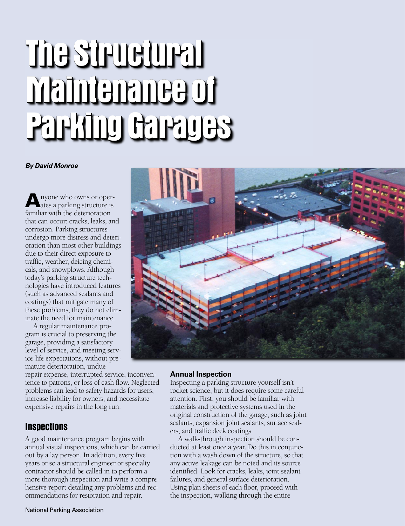# **The Structural The Structural The The StructuralThe Structural StructuralThe The Maintenance of Parking Garages**

#### *By David Monroe*

**A**nyone who owns or operates a parking structure is familiar with the deterioration that can occur: cracks, leaks, and corrosion. Parking structures undergo more distress and deterioration than most other buildings due to their direct exposure to traffic, weather, deicing chemicals, and snowplows. Although today's parking structure technologies have introduced features (such as advanced sealants and coatings) that mitigate many of these problems, they do not eliminate the need for maintenance.

A regular maintenance program is crucial to preserving the garage, providing a satisfactory level of service, and meeting service-life expectations, without premature deterioration, undue

repair expense, interrupted service, inconvenience to patrons, or loss of cash flow. Neglected problems can lead to safety hazards for users, increase liability for owners, and necessitate expensive repairs in the long run.

## **Inspections**

A good maintenance program begins with annual visual inspections, which can be carried out by a lay person. In addition, every five years or so a structural engineer or specialty contractor should be called in to perform a more thorough inspection and write a comprehensive report detailing any problems and recommendations for restoration and repair.



#### **Annual Inspection**

Inspecting a parking structure yourself isn't rocket science, but it does require some careful attention. First, you should be familiar with materials and protective systems used in the original construction of the garage, such as joint sealants, expansion joint sealants, surface sealers, and traffic deck coatings.

A walk-through inspection should be conducted at least once a year. Do this in conjunction with a wash down of the structure, so that any active leakage can be noted and its source identified. Look for cracks, leaks, joint sealant failures, and general surface deterioration. Using plan sheets of each floor, proceed with the inspection, walking through the entire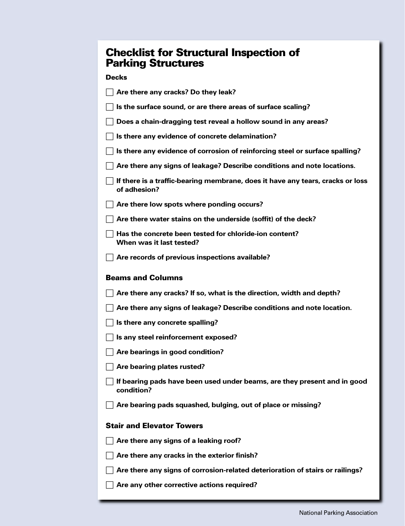## **Checklist for Structural Inspection of Parking Structures**

## **Decks**

| Are there any cracks? Do they leak?                                                            |
|------------------------------------------------------------------------------------------------|
| Is the surface sound, or are there areas of surface scaling?                                   |
| Does a chain-dragging test reveal a hollow sound in any areas?                                 |
| Is there any evidence of concrete delamination?                                                |
| Is there any evidence of corrosion of reinforcing steel or surface spalling?                   |
| Are there any signs of leakage? Describe conditions and note locations.                        |
| If there is a traffic-bearing membrane, does it have any tears, cracks or loss<br>of adhesion? |
| Are there low spots where ponding occurs?                                                      |
| Are there water stains on the underside (soffit) of the deck?                                  |
| Has the concrete been tested for chloride-ion content?<br>When was it last tested?             |
| Are records of previous inspections available?                                                 |
| <b>Beams and Columns</b>                                                                       |
| Are there any cracks? If so, what is the direction, width and depth?                           |
| Are there any signs of leakage? Describe conditions and note location.                         |
| Is there any concrete spalling?                                                                |
| Is any steel reinforcement exposed?                                                            |
| Are bearings in good condition?                                                                |
| Are bearing plates rusted?                                                                     |
| If bearing pads have been used under beams, are they present and in good                       |
| condition?                                                                                     |
| Are bearing pads squashed, bulging, out of place or missing?                                   |
| <b>Stair and Elevator Towers</b>                                                               |
| Are there any signs of a leaking roof?                                                         |
| Are there any cracks in the exterior finish?                                                   |
| Are there any signs of corrosion-related deterioration of stairs or railings?                  |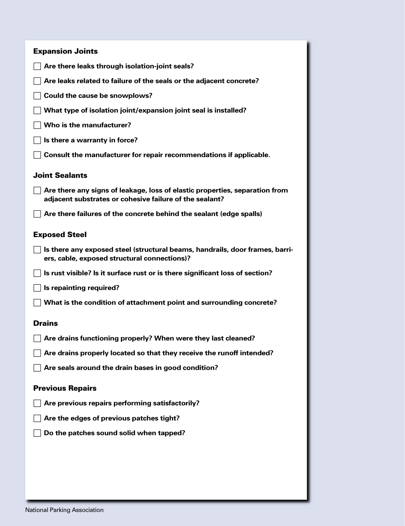| <b>Expansion Joints</b>                                                                                                                |
|----------------------------------------------------------------------------------------------------------------------------------------|
| Are there leaks through isolation-joint seals?                                                                                         |
| Are leaks related to failure of the seals or the adjacent concrete?                                                                    |
| Could the cause be snowplows?                                                                                                          |
| What type of isolation joint/expansion joint seal is installed?                                                                        |
| Who is the manufacturer?                                                                                                               |
| Is there a warranty in force?                                                                                                          |
| Consult the manufacturer for repair recommendations if applicable.                                                                     |
| <b>Joint Sealants</b>                                                                                                                  |
| Are there any signs of leakage, loss of elastic properties, separation from<br>adjacent substrates or cohesive failure of the sealant? |
| Are there failures of the concrete behind the sealant (edge spalls)                                                                    |
| <b>Exposed Steel</b>                                                                                                                   |
| Is there any exposed steel (structural beams, handrails, door frames, barri-<br>ers, cable, exposed structural connections)?           |
| Is rust visible? Is it surface rust or is there significant loss of section?                                                           |
| Is repainting required?                                                                                                                |
| What is the condition of attachment point and surrounding concrete?                                                                    |
| <b>Drains</b>                                                                                                                          |
| Are drains functioning properly? When were they last cleaned?                                                                          |
| Are drains properly located so that they receive the runoff intended?                                                                  |
| Are seals around the drain bases in good condition?                                                                                    |
| <b>Previous Repairs</b>                                                                                                                |
| Are previous repairs performing satisfactorily?                                                                                        |
| Are the edges of previous patches tight?                                                                                               |
| Do the patches sound solid when tapped?                                                                                                |
|                                                                                                                                        |
|                                                                                                                                        |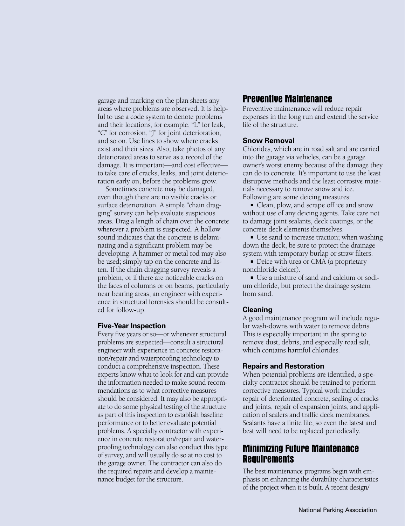garage and marking on the plan sheets any areas where problems are observed. It is helpful to use a code system to denote problems and their locations, for example, "L" for leak, "C" for corrosion, "J" for joint deterioration, and so on. Use lines to show where cracks exist and their sizes. Also, take photos of any deteriorated areas to serve as a record of the damage. It is important—and cost effective to take care of cracks, leaks, and joint deterioration early on, before the problems grow.

Sometimes concrete may be damaged, even though there are no visible cracks or surface deterioration. A simple "chain dragging" survey can help evaluate suspicious areas. Drag a length of chain over the concrete wherever a problem is suspected. A hollow sound indicates that the concrete is delaminating and a significant problem may be developing. A hammer or metal rod may also be used; simply tap on the concrete and listen. If the chain dragging survey reveals a problem, or if there are noticeable cracks on the faces of columns or on beams, particularly near bearing areas, an engineer with experience in structural forensics should be consulted for follow-up.

#### **Five-Year Inspection**

Every five years or so—or whenever structural problems are suspected—consult a structural engineer with experience in concrete restoration/repair and waterproofing technology to conduct a comprehensive inspection. These experts know what to look for and can provide the information needed to make sound recommendations as to what corrective measures should be considered. It may also be appropriate to do some physical testing of the structure as part of this inspection to establish baseline performance or to better evaluate potential problems. A specialty contractor with experience in concrete restoration/repair and waterproofing technology can also conduct this type of survey, and will usually do so at no cost to the garage owner. The contractor can also do the required repairs and develop a maintenance budget for the structure.

## **Preventive Maintenance**

Preventive maintenance will reduce repair expenses in the long run and extend the service life of the structure.

#### **Snow Removal**

Chlorides, which are in road salt and are carried into the garage via vehicles, can be a garage owner's worst enemy because of the damage they can do to concrete. It's important to use the least disruptive methods and the least corrosive materials necessary to remove snow and ice. Following are some deicing measures:

■ Clean, plow, and scrape off ice and snow without use of any deicing agents. Take care not to damage joint sealants, deck coatings, or the concrete deck elements themselves.

■ Use sand to increase traction; when washing down the deck, be sure to protect the drainage system with temporary burlap or straw filters.

■ Deice with urea or CMA (a proprietary nonchloride deicer).

■ Use a mixture of sand and calcium or sodium chloride, but protect the drainage system from sand.

#### **Cleaning**

A good maintenance program will include regular wash-downs with water to remove debris. This is especially important in the spring to remove dust, debris, and especially road salt, which contains harmful chlorides.

#### **Repairs and Restoration**

When potential problems are identified, a specialty contractor should be retained to perform corrective measures. Typical work includes repair of deteriorated concrete, sealing of cracks and joints, repair of expansion joints, and application of sealers and traffic deck membranes. Sealants have a finite life, so even the latest and best will need to be replaced periodically.

## **Minimizing Future Maintenance Requirements**

The best maintenance programs begin with emphasis on enhancing the durability characteristics of the project when it is built. A recent design/